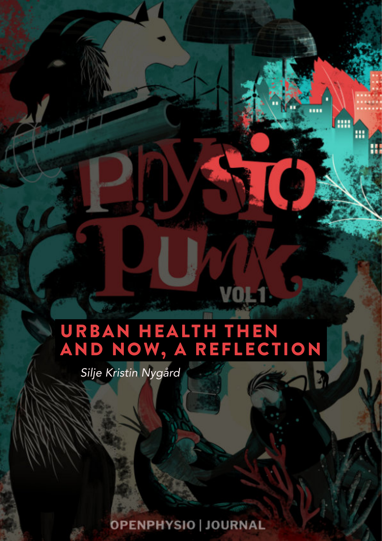# URBAN HEALTH THEN AND NOW, A REFLECTION

VOL

99

ш

H

*Silje Kristin Nygård*

**OPENPHYSIO | JOURNAL**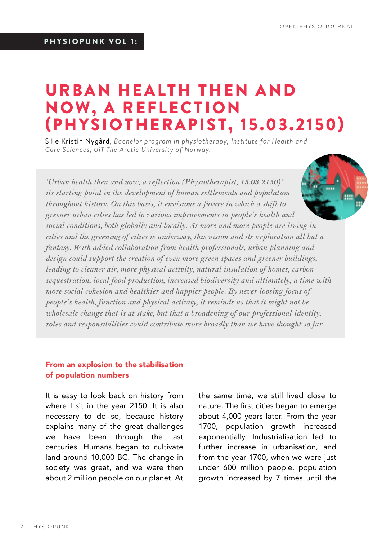# URBAN HEALTH THEN AND NOW, A REFLECTION (PHYSIOTHERAPIST, 15.03.2150)

Silje Kristin Nygård, *Bachelor program in physiotherapy, Institute for Health and Care Sciences, UiT The Arctic University of Norway.*

*'Urban health then and now, a reflection (Physiotherapist, 15.03.2150)' its starting point in the development of human settlements and population throughout history. On this basis, it envisions a future in which a shift to greener urban cities has led to various improvements in people's health and*

*social conditions, both globally and locally. As more and more people are living in cities and the greening of cities is underway, this vision and its exploration all but a fantasy. With added collaboration from health professionals, urban planning and design could support the creation of even more green spaces and greener buildings, leading to cleaner air, more physical activity, natural insulation of homes, carbon sequestration, local food production, increased biodiversity and ultimately, a time with more social cohesion and healthier and happier people. By never loosing focus of people's health, function and physical activity, it reminds us that it might not be wholesale change that is at stake, but that a broadening of our professional identity, roles and responsibilities could contribute more broadly than we have thought so far.*

#### **From an explosion to the stabilisation of population numbers**

It is easy to look back on history from where I sit in the year 2150. It is also necessary to do so, because history explains many of the great challenges we have been through the last centuries. Humans began to cultivate land around 10,000 BC. The change in society was great, and we were then about 2 million people on our planet. At the same time, we still lived close to nature. The first cities began to emerge about 4,000 years later. From the year 1700, population growth increased exponentially. Industrialisation led to further increase in urbanisation, and from the year 1700, when we were just under 600 million people, population growth increased by 7 times until the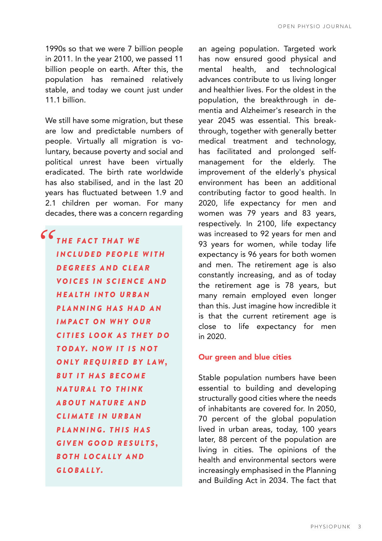1990s so that we were 7 billion people in 2011. In the year 2100, we passed 11 billion people on earth. After this, the population has remained relatively stable, and today we count just under 11.1 billion.

We still have some migration, but these are low and predictable numbers of people. Virtually all migration is voluntary, because poverty and social and political unrest have been virtually eradicated. The birth rate worldwide has also stabilised, and in the last 20 years has fluctuated between 1.9 and 2.1 children per woman. For many decades, there was a concern regarding

*T H E F A C T T H A T W E I N C L U D E D P E O P L E W I T H D E G R E E S A N D C L E A R VOICES IN SCIENCE AND H E A L T H I N T O U R B A N P L A N N I N G H A S H A D A N I M PA C T O N W H Y O U R C I T I E S L O O K A S T H E Y D O TODAY. NOW IT IS NOT O N LY R E Q U I R E D B Y L AW,* **BUT IT HAS BECOME** *N A T U R A L T O T H I N K A B O U T N A T U R E A N D C L I M A T E I N U R B A N P L A N N I N G . T H I S H A S G I V E N G O O D R E S U L T S , B O T H L O C A L LY A N D G L O B A L LY.*

an ageing population. Targeted work has now ensured good physical and mental health, and technological advances contribute to us living longer and healthier lives. For the oldest in the population, the breakthrough in dementia and Alzheimer's research in the year 2045 was essential. This breakthrough, together with generally better medical treatment and technology, has facilitated and prolonged selfmanagement for the elderly. The improvement of the elderly's physical environment has been an additional contributing factor to good health. In 2020, life expectancy for men and women was 79 years and 83 years, respectively. In 2100, life expectancy was increased to 92 years for men and 93 years for women, while today life expectancy is 96 years for both women and men. The retirement age is also constantly increasing, and as of today the retirement age is 78 years, but many remain employed even longer than this. Just imagine how incredible it is that the current retirement age is close to life expectancy for men in 2020.

### **Our green and blue cities**

Stable population numbers have been essential to building and developing structurally good cities where the needs of inhabitants are covered for. In 2050, 70 percent of the global population lived in urban areas, today, 100 years later, 88 percent of the population are living in cities. The opinions of the health and environmental sectors were increasingly emphasised in the Planning and Building Act in 2034. The fact that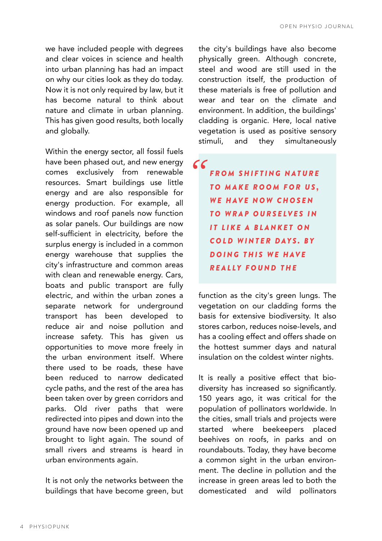we have included people with degrees and clear voices in science and health into urban planning has had an impact on why our cities look as they do today. Now it is not only required by law, but it has become natural to think about nature and climate in urban planning. This has given good results, both locally and globally.

Within the energy sector, all fossil fuels have been phased out, and new energy comes exclusively from renewable resources. Smart buildings use little energy and are also responsible for energy production. For example, all windows and roof panels now function as solar panels. Our buildings are now self-sufficient in electricity, before the surplus energy is included in a common energy warehouse that supplies the city's infrastructure and common areas with clean and renewable energy. Cars, boats and public transport are fully electric, and within the urban zones a separate network for underground transport has been developed to reduce air and noise pollution and increase safety. This has given us opportunities to move more freely in the urban environment itself. Where there used to be roads, these have been reduced to narrow dedicated cycle paths, and the rest of the area has been taken over by green corridors and parks. Old river paths that were redirected into pipes and down into the ground have now been opened up and brought to light again. The sound of small rivers and streams is heard in urban environments again.

It is not only the networks between the buildings that have become green, but the city's buildings have also become physically green. Although concrete, steel and wood are still used in the construction itself, the production of these materials is free of pollution and wear and tear on the climate and environment. In addition, the buildings' cladding is organic. Here, local native vegetation is used as positive sensory stimuli, and they simultaneously

 $cc$ *F R O M S H I F T I N G N A T U R E TO MAKE ROOM FOR US. WE HAVE NOW CHOSEN T O W R A P O U R S E LV E S I N IT LIKE A BLANKET ON C O L D W I N T E R D AY S . B Y D O I N G T H I S W E H AV E R E A L LY F O U N D T H E*

function as the city's green lungs. The vegetation on our cladding forms the basis for extensive biodiversity. It also stores carbon, reduces noise-levels, and has a cooling effect and offers shade on the hottest summer days and natural insulation on the coldest winter nights.

It is really a positive effect that biodiversity has increased so significantly. 150 years ago, it was critical for the population of pollinators worldwide. In the cities, small trials and projects were started where beekeepers placed beehives on roofs, in parks and on roundabouts. Today, they have become a common sight in the urban environment. The decline in pollution and the increase in green areas led to both the domesticated and wild pollinators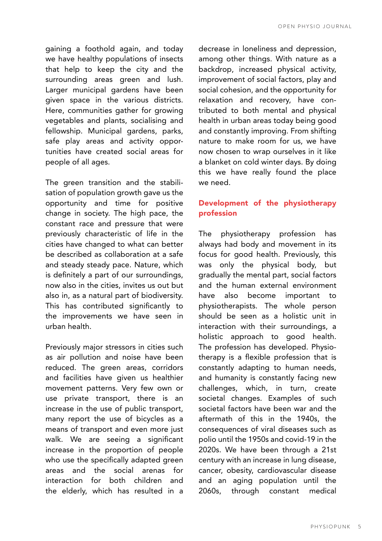gaining a foothold again, and today we have healthy populations of insects that help to keep the city and the surrounding areas green and lush. Larger municipal gardens have been given space in the various districts. Here, communities gather for growing vegetables and plants, socialising and fellowship. Municipal gardens, parks, safe play areas and activity opportunities have created social areas for people of all ages.

The green transition and the stabilisation of population growth gave us the opportunity and time for positive change in society. The high pace, the constant race and pressure that were previously characteristic of life in the cities have changed to what can better be described as collaboration at a safe and steady steady pace. Nature, which is definitely a part of our surroundings, now also in the cities, invites us out but also in, as a natural part of biodiversity. This has contributed significantly to the improvements we have seen in urban health.

Previously major stressors in cities such as air pollution and noise have been reduced. The green areas, corridors and facilities have given us healthier movement patterns. Very few own or use private transport, there is an increase in the use of public transport, many report the use of bicycles as a means of transport and even more just walk. We are seeing a significant increase in the proportion of people who use the specifically adapted green areas and the social arenas for interaction for both children and the elderly, which has resulted in a decrease in loneliness and depression, among other things. With nature as a backdrop, increased physical activity, improvement of social factors, play and social cohesion, and the opportunity for relaxation and recovery, have contributed to both mental and physical health in urban areas today being good and constantly improving. From shifting nature to make room for us, we have now chosen to wrap ourselves in it like a blanket on cold winter days. By doing this we have really found the place we need.

## **Development of the physiotherapy profession**

The physiotherapy profession has always had body and movement in its focus for good health. Previously, this was only the physical body, but gradually the mental part, social factors and the human external environment have also become important to physiotherapists. The whole person should be seen as a holistic unit in interaction with their surroundings, a holistic approach to good health. The profession has developed. Physiotherapy is a flexible profession that is constantly adapting to human needs, and humanity is constantly facing new challenges, which, in turn, create societal changes. Examples of such societal factors have been war and the aftermath of this in the 1940s, the consequences of viral diseases such as polio until the 1950s and covid-19 in the 2020s. We have been through a 21st century with an increase in lung disease, cancer, obesity, cardiovascular disease and an aging population until the 2060s, through constant medical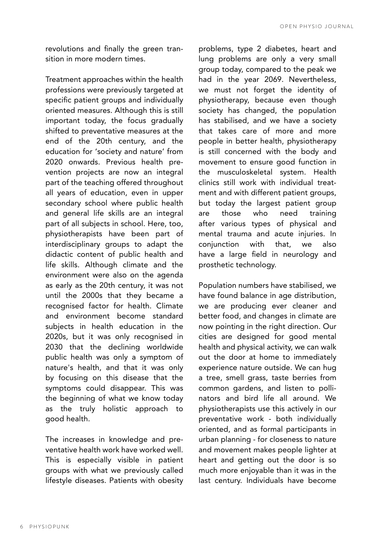revolutions and finally the green transition in more modern times.

Treatment approaches within the health professions were previously targeted at specific patient groups and individually oriented measures. Although this is still important today, the focus gradually shifted to preventative measures at the end of the 20th century, and the education for 'society and nature' from 2020 onwards. Previous health prevention projects are now an integral part of the teaching offered throughout all years of education, even in upper secondary school where public health and general life skills are an integral part of all subjects in school. Here, too, physiotherapists have been part of interdisciplinary groups to adapt the didactic content of public health and life skills. Although climate and the environment were also on the agenda as early as the 20th century, it was not until the 2000s that they became a recognised factor for health. Climate and environment become standard subjects in health education in the 2020s, but it was only recognised in 2030 that the declining worldwide public health was only a symptom of nature's health, and that it was only by focusing on this disease that the symptoms could disappear. This was the beginning of what we know today as the truly holistic approach to good health.

The increases in knowledge and preventative health work have worked well. This is especially visible in patient groups with what we previously called lifestyle diseases. Patients with obesity problems, type 2 diabetes, heart and lung problems are only a very small group today, compared to the peak we had in the year 2069. Nevertheless, we must not forget the identity of physiotherapy, because even though society has changed, the population has stabilised, and we have a society that takes care of more and more people in better health, physiotherapy is still concerned with the body and movement to ensure good function in the musculoskeletal system. Health clinics still work with individual treatment and with different patient groups, but today the largest patient group are those who need training after various types of physical and mental trauma and acute injuries. In conjunction with that, we also have a large field in neurology and prosthetic technology.

Population numbers have stabilised, we have found balance in age distribution, we are producing ever cleaner and better food, and changes in climate are now pointing in the right direction. Our cities are designed for good mental health and physical activity, we can walk out the door at home to immediately experience nature outside. We can hug a tree, smell grass, taste berries from common gardens, and listen to pollinators and bird life all around. We physiotherapists use this actively in our preventative work - both individually oriented, and as formal participants in urban planning - for closeness to nature and movement makes people lighter at heart and getting out the door is so much more enjoyable than it was in the last century. Individuals have become